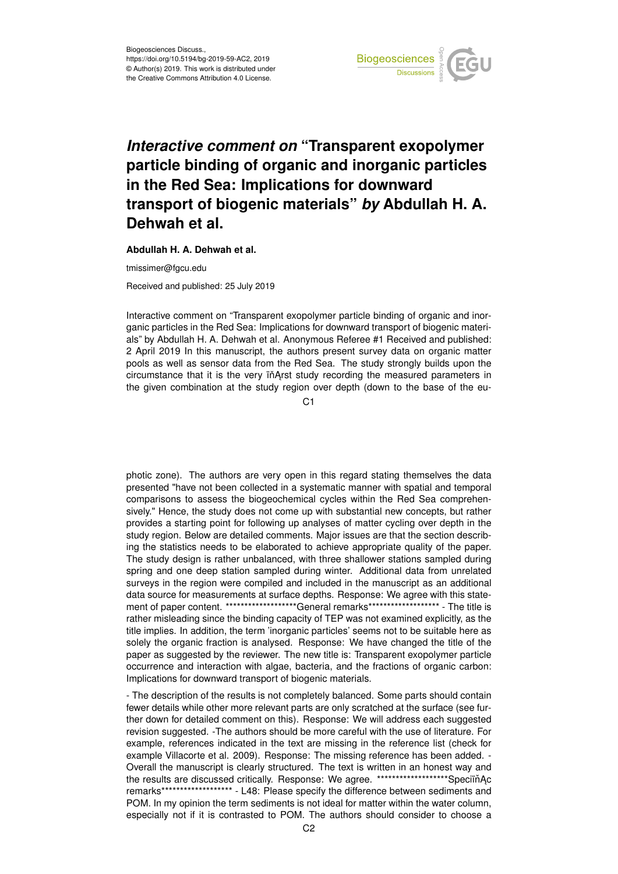

## *Interactive comment on* **"Transparent exopolymer particle binding of organic and inorganic particles in the Red Sea: Implications for downward transport of biogenic materials"** *by* **Abdullah H. A. Dehwah et al.**

**Abdullah H. A. Dehwah et al.**

tmissimer@fgcu.edu

Received and published: 25 July 2019

Interactive comment on "Transparent exopolymer particle binding of organic and inorganic particles in the Red Sea: Implications for downward transport of biogenic materials" by Abdullah H. A. Dehwah et al. Anonymous Referee #1 Received and published: 2 April 2019 In this manuscript, the authors present survey data on organic matter pools as well as sensor data from the Red Sea. The study strongly builds upon the circumstance that it is the very in Arst study recording the measured parameters in the given combination at the study region over depth (down to the base of the eu-

 $C<sub>1</sub>$ 

photic zone). The authors are very open in this regard stating themselves the data presented "have not been collected in a systematic manner with spatial and temporal comparisons to assess the biogeochemical cycles within the Red Sea comprehensively." Hence, the study does not come up with substantial new concepts, but rather provides a starting point for following up analyses of matter cycling over depth in the study region. Below are detailed comments. Major issues are that the section describing the statistics needs to be elaborated to achieve appropriate quality of the paper. The study design is rather unbalanced, with three shallower stations sampled during spring and one deep station sampled during winter. Additional data from unrelated surveys in the region were compiled and included in the manuscript as an additional data source for measurements at surface depths. Response: We agree with this statement of paper content. \*\*\*\*\*\*\*\*\*\*\*\*\*\*\*\*\*\*\*\*General remarks\*\*\*\*\*\*\*\*\*\*\*\*\*\*\*\*\*\*\*\*\* - The title is rather misleading since the binding capacity of TEP was not examined explicitly, as the title implies. In addition, the term 'inorganic particles' seems not to be suitable here as solely the organic fraction is analysed. Response: We have changed the title of the paper as suggested by the reviewer. The new title is: Transparent exopolymer particle occurrence and interaction with algae, bacteria, and the fractions of organic carbon: Implications for downward transport of biogenic materials.

- The description of the results is not completely balanced. Some parts should contain fewer details while other more relevant parts are only scratched at the surface (see further down for detailed comment on this). Response: We will address each suggested revision suggested. -The authors should be more careful with the use of literature. For example, references indicated in the text are missing in the reference list (check for example Villacorte et al. 2009). Response: The missing reference has been added. - Overall the manuscript is clearly structured. The text is written in an honest way and the results are discussed critically. Response: We agree. \*\*\*\*\*\*\*\*\*\*\*\*\*\*\*\*\*\*\*\*SpeciïňAc remarks\*\*\*\*\*\*\*\*\*\*\*\*\*\*\*\*\*\*\* - L48: Please specify the difference between sediments and POM. In my opinion the term sediments is not ideal for matter within the water column, especially not if it is contrasted to POM. The authors should consider to choose a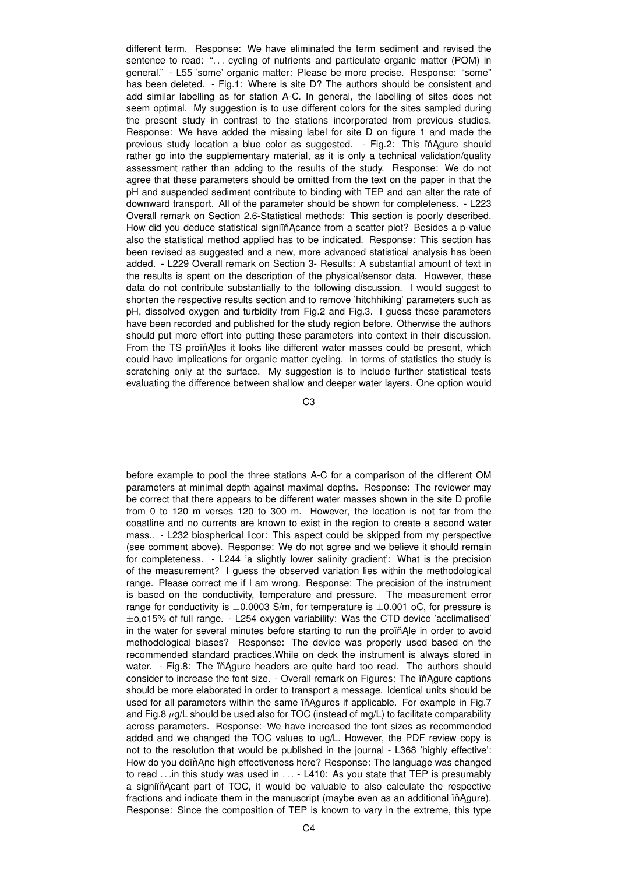different term. Response: We have eliminated the term sediment and revised the sentence to read: "... cycling of nutrients and particulate organic matter (POM) in general." - L55 'some' organic matter: Please be more precise. Response: "some" has been deleted. - Fig.1: Where is site D? The authors should be consistent and add similar labelling as for station A-C. In general, the labelling of sites does not seem optimal. My suggestion is to use different colors for the sites sampled during the present study in contrast to the stations incorporated from previous studies. Response: We have added the missing label for site D on figure 1 and made the previous study location a blue color as suggested. - Fig.2: This in Agure should rather go into the supplementary material, as it is only a technical validation/quality assessment rather than adding to the results of the study. Response: We do not agree that these parameters should be omitted from the text on the paper in that the pH and suspended sediment contribute to binding with TEP and can alter the rate of downward transport. All of the parameter should be shown for completeness. - L223 Overall remark on Section 2.6-Statistical methods: This section is poorly described. How did you deduce statistical signiin Acance from a scatter plot? Besides a p-value also the statistical method applied has to be indicated. Response: This section has been revised as suggested and a new, more advanced statistical analysis has been added. - L229 Overall remark on Section 3- Results: A substantial amount of text in the results is spent on the description of the physical/sensor data. However, these data do not contribute substantially to the following discussion. I would suggest to shorten the respective results section and to remove 'hitchhiking' parameters such as pH, dissolved oxygen and turbidity from Fig.2 and Fig.3. I guess these parameters have been recorded and published for the study region before. Otherwise the authors should put more effort into putting these parameters into context in their discussion. From the TS proïñAles it looks like different water masses could be present, which could have implications for organic matter cycling. In terms of statistics the study is scratching only at the surface. My suggestion is to include further statistical tests evaluating the difference between shallow and deeper water layers. One option would

C3

before example to pool the three stations A-C for a comparison of the different OM parameters at minimal depth against maximal depths. Response: The reviewer may be correct that there appears to be different water masses shown in the site D profile from 0 to 120 m verses 120 to 300 m. However, the location is not far from the coastline and no currents are known to exist in the region to create a second water mass.. - L232 biospherical licor: This aspect could be skipped from my perspective (see comment above). Response: We do not agree and we believe it should remain for completeness. - L244 'a slightly lower salinity gradient': What is the precision of the measurement? I guess the observed variation lies within the methodological range. Please correct me if I am wrong. Response: The precision of the instrument is based on the conductivity, temperature and pressure. The measurement error range for conductivity is  $\pm 0.0003$  S/m, for temperature is  $\pm 0.001$  oC, for pressure is ±o,o15% of full range. - L254 oxygen variability: Was the CTD device 'acclimatised' in the water for several minutes before starting to run the proin Ale in order to avoid methodological biases? Response: The device was properly used based on the recommended standard practices.While on deck the instrument is always stored in water. - Fig.8: The in Agure headers are quite hard too read. The authors should consider to increase the font size. - Overall remark on Figures: The in Agure captions should be more elaborated in order to transport a message. Identical units should be used for all parameters within the same in Agures if applicable. For example in Fig.7 and Fig.8  $\mu$ g/L should be used also for TOC (instead of mg/L) to facilitate comparability across parameters. Response: We have increased the font sizes as recommended added and we changed the TOC values to ug/L. However, the PDF review copy is not to the resolution that would be published in the journal - L368 'highly effective': How do you deïňAne high effectiveness here? Response: The language was changed to read . . .in this study was used in . . . - L410: As you state that TEP is presumably a signiin Acant part of TOC, it would be valuable to also calculate the respective fractions and indicate them in the manuscript (maybe even as an additional in Agure). Response: Since the composition of TEP is known to vary in the extreme, this type